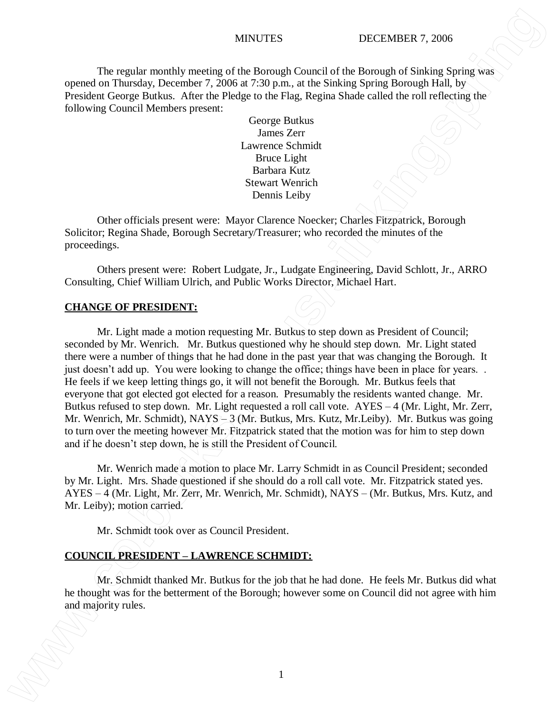The regular monthly meeting of the Borough Council of the Borough of Sinking Spring was opened on Thursday, December 7, 2006 at 7:30 p.m., at the Sinking Spring Borough Hall, by President George Butkus. After the Pledge to the Flag, Regina Shade called the roll reflecting the following Council Members present:

> George Butkus James Zerr Lawrence Schmidt Bruce Light Barbara Kutz Stewart Wenrich Dennis Leiby

Other officials present were: Mayor Clarence Noecker; Charles Fitzpatrick, Borough Solicitor; Regina Shade, Borough Secretary/Treasurer; who recorded the minutes of the proceedings.

Others present were: Robert Ludgate, Jr., Ludgate Engineering, David Schlott, Jr., ARRO Consulting, Chief William Ulrich, and Public Works Director, Michael Hart.

### **CHANGE OF PRESIDENT:**

Mr. Light made a motion requesting Mr. Butkus to step down as President of Council; seconded by Mr. Wenrich. Mr. Butkus questioned why he should step down. Mr. Light stated there were a number of things that he had done in the past year that was changing the Borough. It just doesn't add up. You were looking to change the office; things have been in place for years... He feels if we keep letting things go, it will not benefit the Borough. Mr. Butkus feels that everyone that got elected got elected for a reason. Presumably the residents wanted change. Mr. Butkus refused to step down. Mr. Light requested a roll call vote. AYES – 4 (Mr. Light, Mr. Zerr, Mr. Wenrich, Mr. Schmidt), NAYS – 3 (Mr. Butkus, Mrs. Kutz, Mr.Leiby). Mr. Butkus was going to turn over the meeting however Mr. Fitzpatrick stated that the motion was for him to step down and if he doesn't step down, he is still the President of Council. **EXERC INTERNATION CONSULTER CONSULTER CONSULTER CONSULTER CONSULTER CONSULTER CONSULTER CONSULTER CONSULTER CONSULTER CONSULTER CONSULTER CONSULTER CONSULTER CONSULTER CONSULTER CONSULTER CONSULTER CONSULTER CONSULTER CON** 

Mr. Wenrich made a motion to place Mr. Larry Schmidt in as Council President; seconded by Mr. Light. Mrs. Shade questioned if she should do a roll call vote. Mr. Fitzpatrick stated yes. AYES – 4 (Mr. Light, Mr. Zerr, Mr. Wenrich, Mr. Schmidt), NAYS – (Mr. Butkus, Mrs. Kutz, and Mr. Leiby); motion carried.

Mr. Schmidt took over as Council President.

### **COUNCIL PRESIDENT – LAWRENCE SCHMIDT:**

Mr. Schmidt thanked Mr. Butkus for the job that he had done. He feels Mr. Butkus did what he thought was for the betterment of the Borough; however some on Council did not agree with him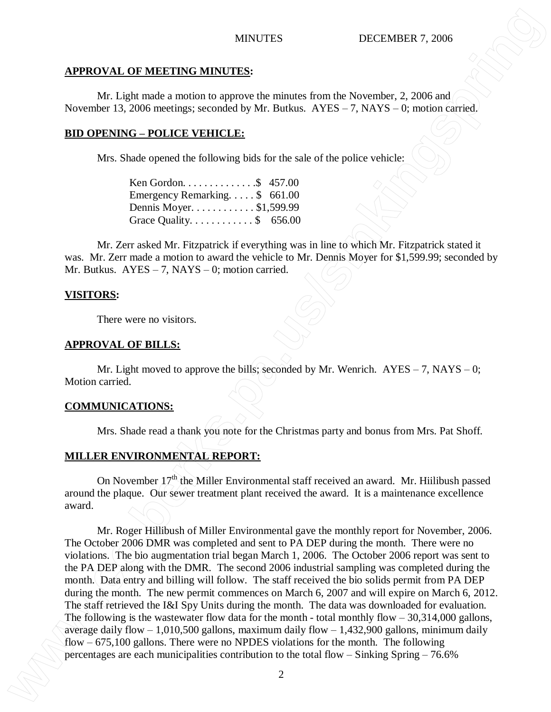# **APPROVAL OF MEETING MINUTES:**

Mr. Light made a motion to approve the minutes from the November, 2, 2006 and November 13, 2006 meetings; seconded by Mr. Butkus. AYES – 7, NAYS – 0; motion carried.

# **BID OPENING – POLICE VEHICLE:**

Mrs. Shade opened the following bids for the sale of the police vehicle:

| Ken Gordon\$ 457.00                             |  |
|-------------------------------------------------|--|
| Emergency Remarking $\frac{1}{2}$ 661.00        |  |
| Dennis Moyer. \$1,599.99                        |  |
| Grace Quality. $\ldots \ldots \ldots$ \$ 656.00 |  |

Mr. Zerr asked Mr. Fitzpatrick if everything was in line to which Mr. Fitzpatrick stated it was. Mr. Zerr made a motion to award the vehicle to Mr. Dennis Moyer for \$1,599.99; seconded by Mr. Butkus.  $AYES - 7$ ,  $NAYS - 0$ ; motion carried.

# **VISITORS:**

There were no visitors.

### **APPROVAL OF BILLS:**

Mr. Light moved to approve the bills; seconded by Mr. Wenrich.  $AYES - 7$ ,  $NAYS - 0$ ; Motion carried.

# **COMMUNICATIONS:**

Mrs. Shade read a thank you note for the Christmas party and bonus from Mrs. Pat Shoff.

# **MILLER ENVIRONMENTAL REPORT:**

On November  $17<sup>th</sup>$  the Miller Environmental staff received an award. Mr. Hiilibush passed around the plaque. Our sewer treatment plant received the award. It is a maintenance excellence award.

Mr. Roger Hillibush of Miller Environmental gave the monthly report for November, 2006. The October 2006 DMR was completed and sent to PA DEP during the month. There were no violations. The bio augmentation trial began March 1, 2006. The October 2006 report was sent to the PA DEP along with the DMR. The second 2006 industrial sampling was completed during the month. Data entry and billing will follow. The staff received the bio solids permit from PA DEP during the month. The new permit commences on March 6, 2007 and will expire on March 6, 2012. The staff retrieved the I&I Spy Units during the month. The data was downloaded for evaluation. The following is the wastewater flow data for the month - total monthly flow  $-30,314,000$  gallons, average daily flow  $-1,010,500$  gallons, maximum daily flow  $-1,432,900$  gallons, minimum daily flow – 675,100 gallons. There were no NPDES violations for the month. The following **MINITES**<br> **EXECUTION MINITES**<br> **EXECUTION MUNICIPALES**<br> **EXECUTION CONTROVIDENTS:**<br> **EXECUTION CONTROVIDENTS:**<br> **EXECUTION CONTROVIDENTS:**<br> **EXECUTION CONTROVIDENTS:**<br> **EXECUTION CONTROVIDENTS:**<br> **EXECUTION CONTROVIDENTS**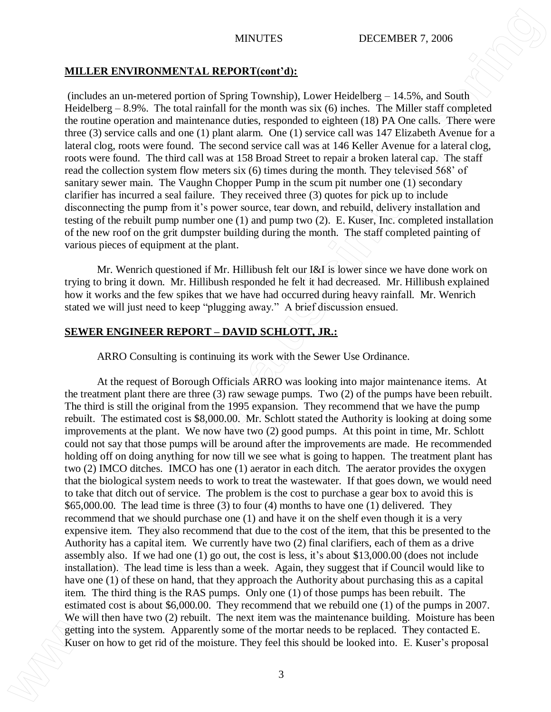### **MILLER ENVIRONMENTAL REPORT(cont'd):**

 (includes an un-metered portion of Spring Township), Lower Heidelberg – 14.5%, and South Heidelberg  $-8.9\%$ . The total rainfall for the month was six (6) inches. The Miller staff completed the routine operation and maintenance duties, responded to eighteen (18) PA One calls. There were three (3) service calls and one (1) plant alarm. One (1) service call was 147 Elizabeth Avenue for a lateral clog, roots were found. The second service call was at 146 Keller Avenue for a lateral clog, roots were found. The third call was at 158 Broad Street to repair a broken lateral cap. The staff read the collection system flow meters six (6) times during the month. They televised 568' of sanitary sewer main. The Vaughn Chopper Pump in the scum pit number one (1) secondary clarifier has incurred a seal failure. They received three (3) quotes for pick up to include disconnecting the pump from it's power source, tear down, and rebuild, delivery installation and testing of the rebuilt pump number one (1) and pump two (2). E. Kuser, Inc. completed installation of the new roof on the grit dumpster building during the month. The staff completed painting of various pieces of equipment at the plant.

Mr. Wenrich questioned if Mr. Hillibush felt our I&I is lower since we have done work on trying to bring it down. Mr. Hillibush responded he felt it had decreased. Mr. Hillibush explained how it works and the few spikes that we have had occurred during heavy rainfall. Mr. Wenrich stated we will just need to keep "plugging away." A brief discussion ensued.

### **SEWER ENGINEER REPORT – DAVID SCHLOTT, JR.:**

ARRO Consulting is continuing its work with the Sewer Use Ordinance.

At the request of Borough Officials ARRO was looking into major maintenance items. At the treatment plant there are three (3) raw sewage pumps. Two (2) of the pumps have been rebuilt. The third is still the original from the 1995 expansion. They recommend that we have the pump rebuilt. The estimated cost is \$8,000.00. Mr. Schlott stated the Authority is looking at doing some improvements at the plant. We now have two (2) good pumps. At this point in time, Mr. Schlott could not say that those pumps will be around after the improvements are made. He recommended holding off on doing anything for now till we see what is going to happen. The treatment plant has two (2) IMCO ditches. IMCO has one (1) aerator in each ditch. The aerator provides the oxygen that the biological system needs to work to treat the wastewater. If that goes down, we would need to take that ditch out of service. The problem is the cost to purchase a gear box to avoid this is \$65,000.00. The lead time is three (3) to four (4) months to have one (1) delivered. They recommend that we should purchase one (1) and have it on the shelf even though it is a very expensive item. They also recommend that due to the cost of the item, that this be presented to the Authority has a capital item. We currently have two (2) final clarifiers, each of them as a drive assembly also. If we had one (1) go out, the cost is less, it's about \$13,000.00 (does not include installation). The lead time is less than a week. Again, they suggest that if Council would like to have one (1) of these on hand, that they approach the Authority about purchasing this as a capital item. The third thing is the RAS pumps. Only one (1) of those pumps has been rebuilt. The estimated cost is about \$6,000.00. They recommend that we rebuild one (1) of the pumps in 2007. We will then have two (2) rebuilt. The next item was the maintenance building. Moisture has been getting into the system. Apparently some of the mortar needs to be replaced. They contacted E. **KUSER EXCIENCITY AND MATER CONTINUES** (MATER CONTINUES) (and the moisture of the moisture of the moisture of the moisture. The moisture of the moisture of the moisture of the moisture of the moisture of the moisture. The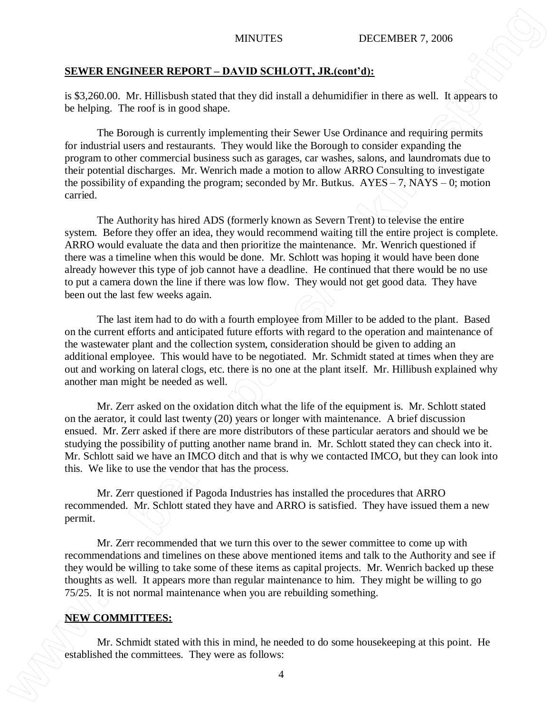### **SEWER ENGINEER REPORT – DAVID SCHLOTT, JR.(cont'd):**

is \$3,260.00. Mr. Hillisbush stated that they did install a dehumidifier in there as well. It appears to be helping. The roof is in good shape.

The Borough is currently implementing their Sewer Use Ordinance and requiring permits for industrial users and restaurants. They would like the Borough to consider expanding the program to other commercial business such as garages, car washes, salons, and laundromats due to their potential discharges. Mr. Wenrich made a motion to allow ARRO Consulting to investigate the possibility of expanding the program; seconded by Mr. Butkus.  $AYES = 7$ , NAYS – 0; motion carried.

The Authority has hired ADS (formerly known as Severn Trent) to televise the entire system. Before they offer an idea, they would recommend waiting till the entire project is complete. ARRO would evaluate the data and then prioritize the maintenance. Mr. Wenrich questioned if there was a timeline when this would be done. Mr. Schlott was hoping it would have been done already however this type of job cannot have a deadline. He continued that there would be no use to put a camera down the line if there was low flow. They would not get good data. They have been out the last few weeks again. **EXERED EXECUTE ASSEMBATION CONSULTER SEPTOR THE COMMITTEE SECTION THE SECTION CONSULTER SECTION CONSULTER SECTION CONSULTER SECTION CONSULTER SECTION CONSULTER SECTION TO A REPORT OF THE SECTION CONSULTER SECTION CONSULT** 

The last item had to do with a fourth employee from Miller to be added to the plant. Based on the current efforts and anticipated future efforts with regard to the operation and maintenance of the wastewater plant and the collection system, consideration should be given to adding an additional employee. This would have to be negotiated. Mr. Schmidt stated at times when they are out and working on lateral clogs, etc. there is no one at the plant itself. Mr. Hillibush explained why another man might be needed as well.

Mr. Zerr asked on the oxidation ditch what the life of the equipment is. Mr. Schlott stated on the aerator, it could last twenty (20) years or longer with maintenance. A brief discussion ensued. Mr. Zerr asked if there are more distributors of these particular aerators and should we be studying the possibility of putting another name brand in. Mr. Schlott stated they can check into it. Mr. Schlott said we have an IMCO ditch and that is why we contacted IMCO, but they can look into this. We like to use the vendor that has the process.

Mr. Zerr questioned if Pagoda Industries has installed the procedures that ARRO recommended. Mr. Schlott stated they have and ARRO is satisfied. They have issued them a new permit.

Mr. Zerr recommended that we turn this over to the sewer committee to come up with recommendations and timelines on these above mentioned items and talk to the Authority and see if they would be willing to take some of these items as capital projects. Mr. Wenrich backed up these thoughts as well. It appears more than regular maintenance to him. They might be willing to go 75/25. It is not normal maintenance when you are rebuilding something.

### **NEW COMMITTEES:**

Mr. Schmidt stated with this in mind, he needed to do some housekeeping at this point. He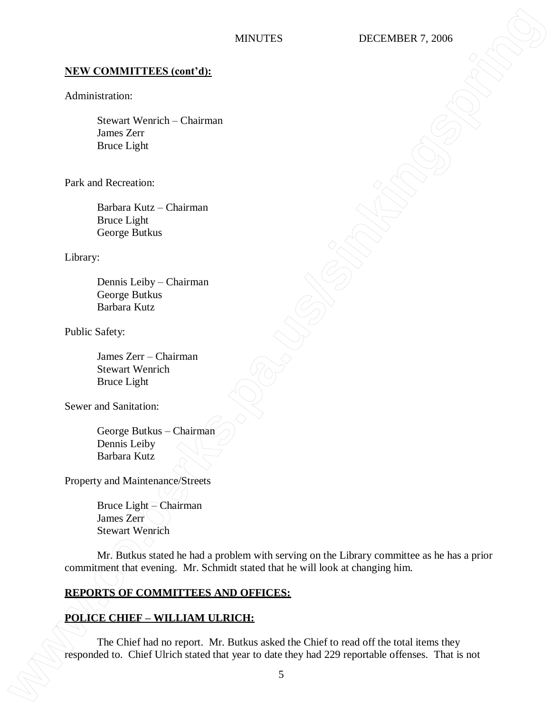### **NEW COMMITTEES (cont'd):**

### Administration:

Stewart Wenrich – Chairman James Zerr Bruce Light

Park and Recreation:

Barbara Kutz – Chairman Bruce Light George Butkus

Library:

Dennis Leiby – Chairman George Butkus Barbara Kutz

Public Safety:

James Zerr – Chairman Stewart Wenrich Bruce Light

Sewer and Sanitation:

George Butkus – Chairman Dennis Leiby Barbara Kutz

Property and Maintenance/Streets

Bruce Light – Chairman James Zerr Stewart Wenrich

Mr. Butkus stated he had a problem with serving on the Library committee as he has a prior commitment that evening. Mr. Schmidt stated that he will look at changing him. **EXEX COMMITTEES (coart-d):**<br>
Administration:<br>
Summar Xeration - Chairman<br>
James Zeration - Chief Ulrich stated that<br>
The Lichenses.<br>
The Chief Ulrich states of the Chief Ulrich states of the Chief Ulrich states.<br>
Compleme

# **REPORTS OF COMMITTEES AND OFFICES:**

# **POLICE CHIEF – WILLIAM ULRICH:**

The Chief had no report. Mr. Butkus asked the Chief to read off the total items they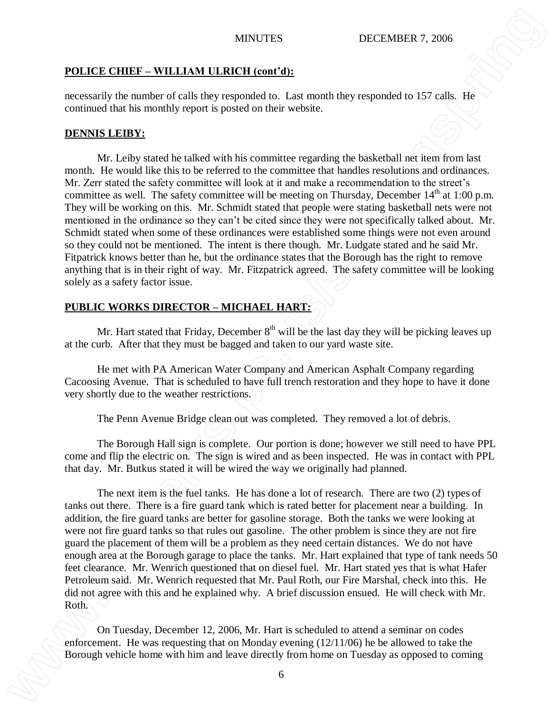### **POLICE CHIEF – WILLIAM ULRICH (cont'd):**

necessarily the number of calls they responded to. Last month they responded to 157 calls. He continued that his monthly report is posted on their website.

## **DENNIS LEIBY:**

Mr. Leiby stated he talked with his committee regarding the basketball net item from last month. He would like this to be referred to the committee that handles resolutions and ordinances. Mr. Zerr stated the safety committee will look at it and make a recommendation to the street's committee as well. The safety committee will be meeting on Thursday, December  $14<sup>th</sup>$  at 1:00 p.m. They will be working on this. Mr. Schmidt stated that people were stating basketball nets were not mentioned in the ordinance so they can't be cited since they were not specifically talked about. Mr. Schmidt stated when some of these ordinances were established some things were not even around so they could not be mentioned. The intent is there though. Mr. Ludgate stated and he said Mr. Fitpatrick knows better than he, but the ordinance states that the Borough has the right to remove anything that is in their right of way. Mr. Fitzpatrick agreed. The safety committee will be looking solely as a safety factor issue. **BOLICE CITHE - WHI LIAM ILIBECTI Controlls:**<br> **BOLICE CITHE - WHI LIAM ILIBECTI Controlls:**<br> **BOLICE CITY CONTINUATES CONTINUATES CONTINUATES CONTINUATES CONTINUATES CONTINUATES CONTINUATES CONTINUATES CONTINUATES CONTINU** 

# **PUBLIC WORKS DIRECTOR – MICHAEL HART:**

Mr. Hart stated that Friday, December  $8<sup>th</sup>$  will be the last day they will be picking leaves up at the curb. After that they must be bagged and taken to our yard waste site.

He met with PA American Water Company and American Asphalt Company regarding Cacoosing Avenue. That is scheduled to have full trench restoration and they hope to have it done very shortly due to the weather restrictions.

The Penn Avenue Bridge clean out was completed. They removed a lot of debris.

The Borough Hall sign is complete. Our portion is done; however we still need to have PPL come and flip the electric on. The sign is wired and as been inspected. He was in contact with PPL that day. Mr. Butkus stated it will be wired the way we originally had planned.

The next item is the fuel tanks. He has done a lot of research. There are two (2) types of tanks out there. There is a fire guard tank which is rated better for placement near a building. In addition, the fire guard tanks are better for gasoline storage. Both the tanks we were looking at were not fire guard tanks so that rules out gasoline. The other problem is since they are not fire guard the placement of them will be a problem as they need certain distances. We do not have enough area at the Borough garage to place the tanks. Mr. Hart explained that type of tank needs 50 feet clearance. Mr. Wenrich questioned that on diesel fuel. Mr. Hart stated yes that is what Hafer Petroleum said. Mr. Wenrich requested that Mr. Paul Roth, our Fire Marshal, check into this. He did not agree with this and he explained why. A brief discussion ensued. He will check with Mr. Roth.

On Tuesday, December 12, 2006, Mr. Hart is scheduled to attend a seminar on codes enforcement. He was requesting that on Monday evening (12/11/06) he be allowed to take the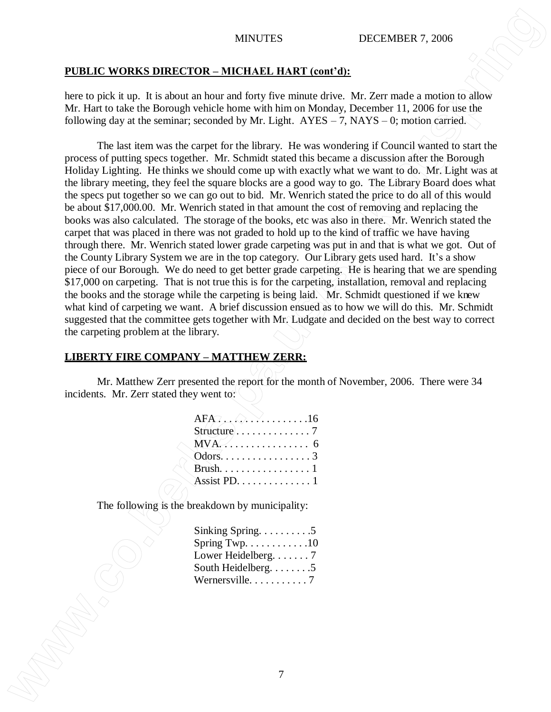### **PUBLIC WORKS DIRECTOR – MICHAEL HART (cont'd):**

here to pick it up. It is about an hour and forty five minute drive. Mr. Zerr made a motion to allow Mr. Hart to take the Borough vehicle home with him on Monday, December 11, 2006 for use the following day at the seminar; seconded by Mr. Light.  $AYES - 7$ ,  $NAYS - 0$ ; motion carried.

The last item was the carpet for the library. He was wondering if Council wanted to start the process of putting specs together. Mr. Schmidt stated this became a discussion after the Borough Holiday Lighting. He thinks we should come up with exactly what we want to do. Mr. Light was at the library meeting, they feel the square blocks are a good way to go. The Library Board does what the specs put together so we can go out to bid. Mr. Wenrich stated the price to do all of this would be about \$17,000.00. Mr. Wenrich stated in that amount the cost of removing and replacing the books was also calculated. The storage of the books, etc was also in there. Mr. Wenrich stated the carpet that was placed in there was not graded to hold up to the kind of traffic we have having through there. Mr. Wenrich stated lower grade carpeting was put in and that is what we got. Out of the County Library System we are in the top category. Our Library gets used hard. It's a show piece of our Borough. We do need to get better grade carpeting. He is hearing that we are spending \$17,000 on carpeting. That is not true this is for the carpeting, installation, removal and replacing the books and the storage while the carpeting is being laid. Mr. Schmidt questioned if we knew what kind of carpeting we want. A brief discussion ensued as to how we will do this. Mr. Schmidt suggested that the committee gets together with Mr. Ludgate and decided on the best way to correct the carpeting problem at the library. MINITES **INTERTY CONTAINS INTERTY CONTAINS INTERTY** 2006<br>
Intert to past a up. 1 is stop an isoma and long the unimate days. No *Zert* made a metallicity of the final tensor of the strengthenistic strengthenistic strengthe

### **LIBERTY FIRE COMPANY – MATTHEW ZERR:**

Mr. Matthew Zerr presented the report for the month of November, 2006. There were 34 incidents. Mr. Zerr stated they went to:

| $AFA: \ldots \ldots \ldots \ldots 16$  |  |
|----------------------------------------|--|
|                                        |  |
|                                        |  |
| Odors. $\dots$ . 3                     |  |
|                                        |  |
| Assist PD. $\dots \dots \dots \dots 1$ |  |

The following is the breakdown by municipality:

| Sinking Spring. $\dots \dots \dots 5$          |  |
|------------------------------------------------|--|
| Spring Twp. $\dots \dots \dots \dots \dots 10$ |  |
| Lower Heidelberg. 7                            |  |
| South Heidelberg. 5                            |  |
| Wernersville. 7                                |  |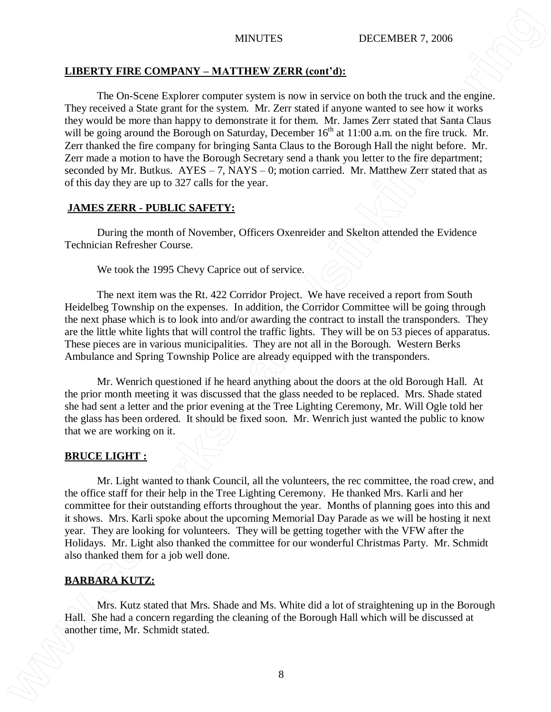### **LIBERTY FIRE COMPANY – MATTHEW ZERR (cont'd):**

The On-Scene Explorer computer system is now in service on both the truck and the engine. They received a State grant for the system. Mr. Zerr stated if anyone wanted to see how it works they would be more than happy to demonstrate it for them. Mr. James Zerr stated that Santa Claus will be going around the Borough on Saturday, December  $16<sup>th</sup>$  at 11:00 a.m. on the fire truck. Mr. Zerr thanked the fire company for bringing Santa Claus to the Borough Hall the night before. Mr. Zerr made a motion to have the Borough Secretary send a thank you letter to the fire department; seconded by Mr. Butkus.  $AYES - 7$ ,  $NAYS - 0$ ; motion carried. Mr. Matthew Zerr stated that as of this day they are up to 327 calls for the year. MINITES **INTERTS INTERTS INTERTS COVIDENTS COVIDENTS COVIDENTS COVIDENTS COVIDENTS COVIDENTS COVIDENTS COVIDENTS COVIDENTS COVIDENTS COVIDENTS COVIDENTS COVIDENTS COVIDENTS COVIDENTS COV** 

# **JAMES ZERR - PUBLIC SAFETY:**

During the month of November, Officers Oxenreider and Skelton attended the Evidence Technician Refresher Course.

We took the 1995 Chevy Caprice out of service.

The next item was the Rt. 422 Corridor Project. We have received a report from South Heidelbeg Township on the expenses. In addition, the Corridor Committee will be going through the next phase which is to look into and/or awarding the contract to install the transponders. They are the little white lights that will control the traffic lights. They will be on 53 pieces of apparatus. These pieces are in various municipalities. They are not all in the Borough. Western Berks Ambulance and Spring Township Police are already equipped with the transponders.

Mr. Wenrich questioned if he heard anything about the doors at the old Borough Hall. At the prior month meeting it was discussed that the glass needed to be replaced. Mrs. Shade stated she had sent a letter and the prior evening at the Tree Lighting Ceremony, Mr. Will Ogle told her the glass has been ordered. It should be fixed soon. Mr. Wenrich just wanted the public to know that we are working on it.

### **BRUCE LIGHT :**

Mr. Light wanted to thank Council, all the volunteers, the rec committee, the road crew, and the office staff for their help in the Tree Lighting Ceremony. He thanked Mrs. Karli and her committee for their outstanding efforts throughout the year. Months of planning goes into this and it shows. Mrs. Karli spoke about the upcoming Memorial Day Parade as we will be hosting it next year. They are looking for volunteers. They will be getting together with the VFW after the Holidays. Mr. Light also thanked the committee for our wonderful Christmas Party. Mr. Schmidt also thanked them for a job well done.

# **BARBARA KUTZ:**

Mrs. Kutz stated that Mrs. Shade and Ms. White did a lot of straightening up in the Borough Hall. She had a concern regarding the cleaning of the Borough Hall which will be discussed at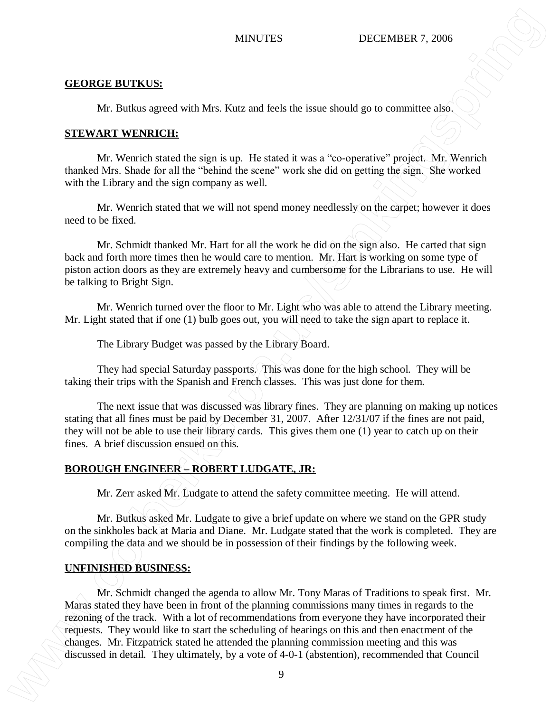### **GEORGE BUTKUS:**

Mr. Butkus agreed with Mrs. Kutz and feels the issue should go to committee also.

### **STEWART WENRICH:**

Mr. Wenrich stated the sign is up. He stated it was a "co-operative" project. Mr. Wenrich thanked Mrs. Shade for all the "behind the scene" work she did on getting the sign. She worked with the Library and the sign company as well.

Mr. Wenrich stated that we will not spend money needlessly on the carpet; however it does need to be fixed.

Mr. Schmidt thanked Mr. Hart for all the work he did on the sign also. He carted that sign back and forth more times then he would care to mention. Mr. Hart is working on some type of piston action doors as they are extremely heavy and cumbersome for the Librarians to use. He will be talking to Bright Sign.

Mr. Wenrich turned over the floor to Mr. Light who was able to attend the Library meeting. Mr. Light stated that if one (1) bulb goes out, you will need to take the sign apart to replace it.

The Library Budget was passed by the Library Board.

They had special Saturday passports. This was done for the high school. They will be taking their trips with the Spanish and French classes. This was just done for them.

The next issue that was discussed was library fines. They are planning on making up notices stating that all fines must be paid by December 31, 2007. After 12/31/07 if the fines are not paid, they will not be able to use their library cards. This gives them one (1) year to catch up on their fines. A brief discussion ensued on this.

# **BOROUGH ENGINEER – ROBERT LUDGATE, JR:**

Mr. Zerr asked Mr. Ludgate to attend the safety committee meeting. He will attend.

Mr. Butkus asked Mr. Ludgate to give a brief update on where we stand on the GPR study on the sinkholes back at Maria and Diane. Mr. Ludgate stated that the work is completed. They are compiling the data and we should be in possession of their findings by the following week.

# **UNFINISHED BUSINESS:**

Mr. Schmidt changed the agenda to allow Mr. Tony Maras of Traditions to speak first. Mr. Maras stated they have been in front of the planning commissions many times in regards to the rezoning of the track. With a lot of recommendations from everyone they have incorporated their requests. They would like to start the scheduling of hearings on this and then enactment of the changes. Mr. Fitzpatrick stated he attended the planning commission meeting and this was MINUTES DECITABINER 7, 2006<br> **CEORCE INTERES**:<br> **M. Bushas agreed with Min. Kata and leeds the issue should go to committee also.**<br> **SEENVARIT WENDICH:**<br> **CEORCE INTEREST (ADS)** (**ADS)** (**ADS)** (**ADS)** (**ADS)** (**ADS)** (**AD**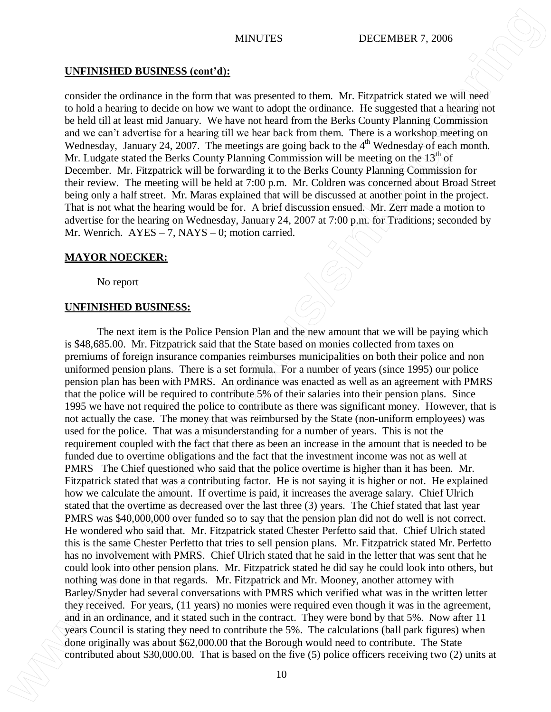### **UNFINISHED BUSINESS (cont'd):**

consider the ordinance in the form that was presented to them. Mr. Fitzpatrick stated we will need to hold a hearing to decide on how we want to adopt the ordinance. He suggested that a hearing not be held till at least mid January. We have not heard from the Berks County Planning Commission and we can't advertise for a hearing till we hear back from them. There is a workshop meeting on Wednesday, January 24, 2007. The meetings are going back to the  $4<sup>th</sup>$  Wednesday of each month. Mr. Ludgate stated the Berks County Planning Commission will be meeting on the  $13<sup>th</sup>$  of December. Mr. Fitzpatrick will be forwarding it to the Berks County Planning Commission for their review. The meeting will be held at 7:00 p.m. Mr. Coldren was concerned about Broad Street being only a half street. Mr. Maras explained that will be discussed at another point in the project. That is not what the hearing would be for. A brief discussion ensued. Mr. Zerr made a motion to advertise for the hearing on Wednesday, January 24, 2007 at 7:00 p.m. for Traditions; seconded by Mr. Wenrich.  $AYES - 7$ ,  $NAYS - 0$ ; motion carried.

### **MAYOR NOECKER:**

No report

### **UNFINISHED BUSINESS:**

The next item is the Police Pension Plan and the new amount that we will be paying which is \$48,685.00. Mr. Fitzpatrick said that the State based on monies collected from taxes on premiums of foreign insurance companies reimburses municipalities on both their police and non uniformed pension plans. There is a set formula. For a number of years (since 1995) our police pension plan has been with PMRS. An ordinance was enacted as well as an agreement with PMRS that the police will be required to contribute 5% of their salaries into their pension plans. Since 1995 we have not required the police to contribute as there was significant money. However, that is not actually the case. The money that was reimbursed by the State (non-uniform employees) was used for the police. That was a misunderstanding for a number of years. This is not the requirement coupled with the fact that there as been an increase in the amount that is needed to be funded due to overtime obligations and the fact that the investment income was not as well at PMRS The Chief questioned who said that the police overtime is higher than it has been. Mr. Fitzpatrick stated that was a contributing factor. He is not saying it is higher or not. He explained how we calculate the amount. If overtime is paid, it increases the average salary. Chief Ulrich stated that the overtime as decreased over the last three (3) years. The Chief stated that last year PMRS was \$40,000,000 over funded so to say that the pension plan did not do well is not correct. He wondered who said that. Mr. Fitzpatrick stated Chester Perfetto said that. Chief Ulrich stated this is the same Chester Perfetto that tries to sell pension plans. Mr. Fitzpatrick stated Mr. Perfetto has no involvement with PMRS. Chief Ulrich stated that he said in the letter that was sent that he could look into other pension plans. Mr. Fitzpatrick stated he did say he could look into others, but nothing was done in that regards. Mr. Fitzpatrick and Mr. Mooney, another attorney with Barley/Snyder had several conversations with PMRS which verified what was in the written letter they received. For years, (11 years) no monies were required even though it was in the agreement, and in an ordinance, and it stated such in the contract. They were bond by that 5%. Now after 11 years Council is stating they need to contribute the 5%. The calculations (ball park figures) when done originally was about \$62,000.00 that the Borough would need to contribute. The State **CONTEXTENT INTERFACTS: SECOND CONTRIBUTION CONTRIBUTE CONTRIBUTION CONTRIBUTION CONTRIBUTION CONTRIBUTION CONTRIBUTION CONTRIBUTION CONTRIBUTION CONTRIBUTION CONTRIBUTION CONTRIBUTION CONTRIBUTION**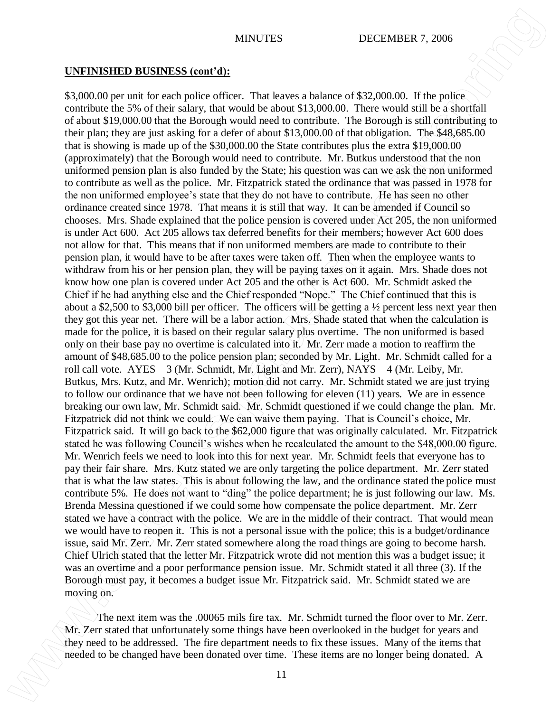### **UNFINISHED BUSINESS (cont'd):**

\$3,000.00 per unit for each police officer. That leaves a balance of \$32,000.00. If the police contribute the 5% of their salary, that would be about \$13,000.00. There would still be a shortfall of about \$19,000.00 that the Borough would need to contribute. The Borough is still contributing to their plan; they are just asking for a defer of about \$13,000.00 of that obligation. The \$48,685.00 that is showing is made up of the \$30,000.00 the State contributes plus the extra \$19,000.00 (approximately) that the Borough would need to contribute. Mr. Butkus understood that the non uniformed pension plan is also funded by the State; his question was can we ask the non uniformed to contribute as well as the police. Mr. Fitzpatrick stated the ordinance that was passed in 1978 for the non uniformed employee's state that they do not have to contribute. He has seen no other ordinance created since 1978. That means it is still that way. It can be amended if Council so chooses. Mrs. Shade explained that the police pension is covered under Act 205, the non uniformed is under Act 600. Act 205 allows tax deferred benefits for their members; however Act 600 does not allow for that. This means that if non uniformed members are made to contribute to their pension plan, it would have to be after taxes were taken off. Then when the employee wants to withdraw from his or her pension plan, they will be paying taxes on it again. Mrs. Shade does not know how one plan is covered under Act 205 and the other is Act 600. Mr. Schmidt asked the Chief if he had anything else and the Chief responded "Nope." The Chief continued that this is about a \$2,500 to \$3,000 bill per officer. The officers will be getting a ½ percent less next year then they got this year net. There will be a labor action. Mrs. Shade stated that when the calculation is made for the police, it is based on their regular salary plus overtime. The non uniformed is based only on their base pay no overtime is calculated into it. Mr. Zerr made a motion to reaffirm the amount of \$48,685.00 to the police pension plan; seconded by Mr. Light. Mr. Schmidt called for a roll call vote. AYES – 3 (Mr. Schmidt, Mr. Light and Mr. Zerr), NAYS – 4 (Mr. Leiby, Mr. Butkus, Mrs. Kutz, and Mr. Wenrich); motion did not carry. Mr. Schmidt stated we are just trying to follow our ordinance that we have not been following for eleven (11) years. We are in essence breaking our own law, Mr. Schmidt said. Mr. Schmidt questioned if we could change the plan. Mr. Fitzpatrick did not think we could. We can waive them paying. That is Council's choice, Mr. Fitzpatrick said. It will go back to the \$62,000 figure that was originally calculated. Mr. Fitzpatrick stated he was following Council's wishes when he recalculated the amount to the \$48,000.00 figure. Mr. Wenrich feels we need to look into this for next year. Mr. Schmidt feels that everyone has to pay their fair share. Mrs. Kutz stated we are only targeting the police department. Mr. Zerr stated that is what the law states. This is about following the law, and the ordinance stated the police must contribute 5%. He does not want to "ding" the police department; he is just following our law. Ms. Brenda Messina questioned if we could some how compensate the police department. Mr. Zerr stated we have a contract with the police. We are in the middle of their contract. That would mean we would have to reopen it. This is not a personal issue with the police; this is a budget/ordinance issue, said Mr. Zerr. Mr. Zerr stated somewhere along the road things are going to become harsh. Chief Ulrich stated that the letter Mr. Fitzpatrick wrote did not mention this was a budget issue; it was an overtime and a poor performance pension issue. Mr. Schmidt stated it all three (3). If the Borough must pay, it becomes a budget issue Mr. Fitzpatrick said. Mr. Schmidt stated we are moving on. **NEW STERN INTERNATION ARTIFICS: SECOND CONSERVATION ARTIFICS: SECOND CONSERVATION ARTIFICS: SECOND CONSERVATION ARTIFICS: SECOND CONSERVATION ARTIFICS: SECOND CONSERVATION ARTIFICS: SECOND CONSERVATION ARTIFI** 

The next item was the .00065 mils fire tax. Mr. Schmidt turned the floor over to Mr. Zerr. Mr. Zerr stated that unfortunately some things have been overlooked in the budget for years and they need to be addressed. The fire department needs to fix these issues. Many of the items that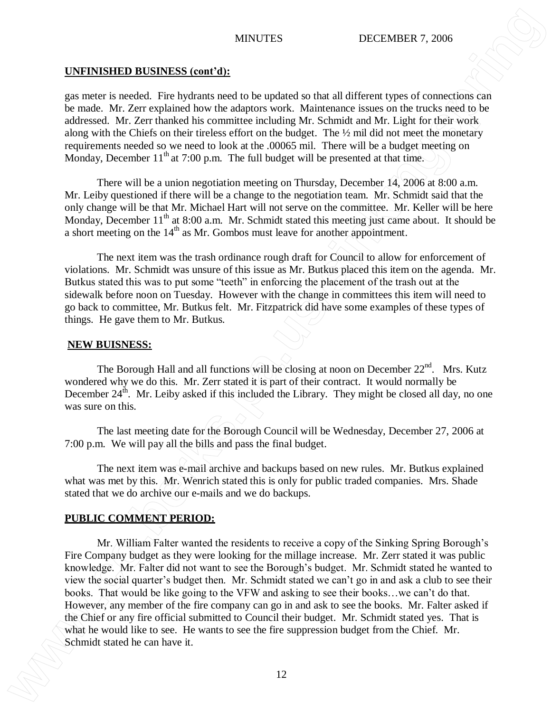# **UNFINISHED BUSINESS (cont'd):**

gas meter is needed. Fire hydrants need to be updated so that all different types of connections can be made. Mr. Zerr explained how the adaptors work. Maintenance issues on the trucks need to be addressed. Mr. Zerr thanked his committee including Mr. Schmidt and Mr. Light for their work along with the Chiefs on their tireless effort on the budget. The ½ mil did not meet the monetary requirements needed so we need to look at the .00065 mil. There will be a budget meeting on Monday, December  $11<sup>th</sup>$  at 7:00 p.m. The full budget will be presented at that time.

There will be a union negotiation meeting on Thursday, December 14, 2006 at 8:00 a.m. Mr. Leiby questioned if there will be a change to the negotiation team. Mr. Schmidt said that the only change will be that Mr. Michael Hart will not serve on the committee. Mr. Keller will be here Monday, December  $11<sup>th</sup>$  at 8:00 a.m. Mr. Schmidt stated this meeting just came about. It should be a short meeting on the  $14<sup>th</sup>$  as Mr. Gombos must leave for another appointment.

The next item was the trash ordinance rough draft for Council to allow for enforcement of violations. Mr. Schmidt was unsure of this issue as Mr. Butkus placed this item on the agenda. Mr. Butkus stated this was to put some "teeth" in enforcing the placement of the trash out at the sidewalk before noon on Tuesday. However with the change in committees this item will need to go back to committee, Mr. Butkus felt. Mr. Fitzpatrick did have some examples of these types of things. He gave them to Mr. Butkus.

### **NEW BUISNESS:**

The Borough Hall and all functions will be closing at noon on December  $22<sup>nd</sup>$ . Mrs. Kutz wondered why we do this. Mr. Zerr stated it is part of their contract. It would normally be December  $24<sup>th</sup>$ . Mr. Leiby asked if this included the Library. They might be closed all day, no one was sure on this.

The last meeting date for the Borough Council will be Wednesday, December 27, 2006 at 7:00 p.m. We will pay all the bills and pass the final budget.

The next item was e-mail archive and backups based on new rules. Mr. Butkus explained what was met by this. Mr. Wenrich stated this is only for public traded companies. Mrs. Shade stated that we do archive our e-mails and we do backups.

# **PUBLIC COMMENT PERIOD:**

Mr. William Falter wanted the residents to receive a copy of the Sinking Spring Borough's Fire Company budget as they were looking for the millage increase. Mr. Zerr stated it was public knowledge. Mr. Falter did not want to see the Borough's budget. Mr. Schmidt stated he wanted to view the social quarter's budget then. Mr. Schmidt stated we can't go in and ask a club to see their books. That would be like going to the VFW and asking to see their books…we can't do that. However, any member of the fire company can go in and ask to see the books. Mr. Falter asked if the Chief or any fire official submitted to Council their budget. Mr. Schmidt stated yes. That is what he would like to see. He wants to see the fire suppression budget from the Chief. Mr. **MINTEE SCHARE AND MANUAL MANUAL METAL SCHARE AND STRAIGHT 2018 (SEE AND STRAIGHT 2019)** and the canonical state of the canonical state of the canonical state of the canonical state of the canonical state of the case of t